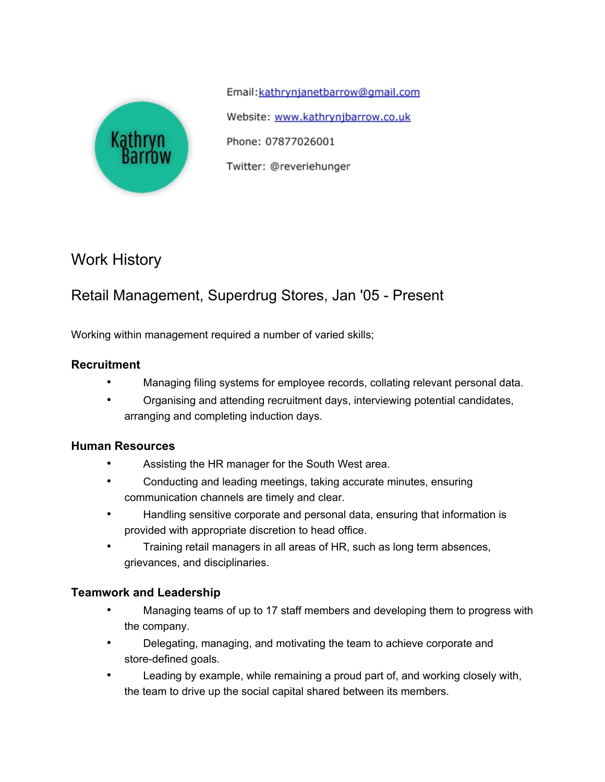

Email: kathrynjanetbarrow@qmail.com Website: www.kathrynjbarrow.co.uk Phone: 07877026001 Twitter: @reveriehunger

# Work History

# Retail Management, Superdrug Stores, Jan '05 - Present

Working within management required a number of varied skills;

#### **Recruitment**

- Managing filing systems for employee records, collating relevant personal data.
- Organising and attending recruitment days, interviewing potential candidates, arranging and completing induction days.

#### **Human Resources**

- Assisting the HR manager for the South West area.
- Conducting and leading meetings, taking accurate minutes, ensuring communication channels are timely and clear.
- Handling sensitive corporate and personal data, ensuring that information is provided with appropriate discretion to head office.
- Training retail managers in all areas of HR, such as long term absences, grievances, and disciplinaries.

#### **Teamwork and Leadership**

- Managing teams of up to 17 staff members and developing them to progress with the company.
- Delegating, managing, and motivating the team to achieve corporate and store-defined goals.
- Leading by example, while remaining a proud part of, and working closely with, the team to drive up the social capital shared between its members.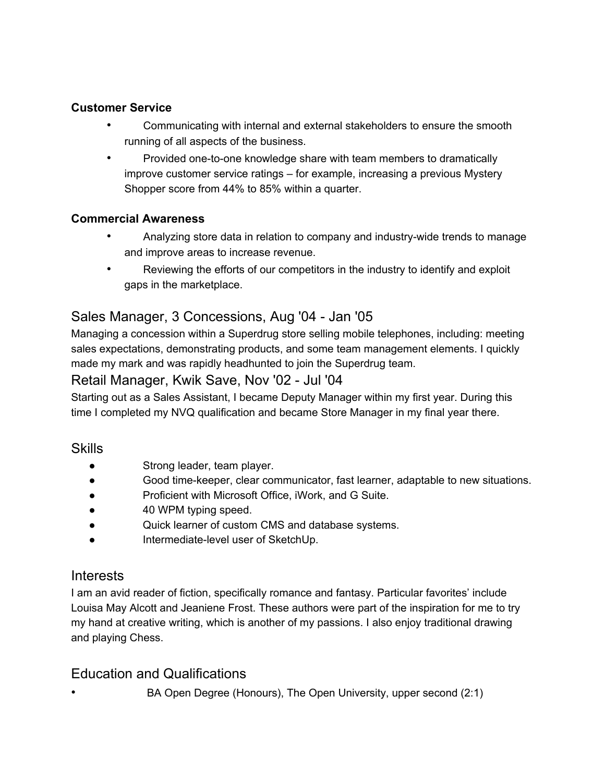#### **Customer Service**

- Communicating with internal and external stakeholders to ensure the smooth running of all aspects of the business.
- Provided one-to-one knowledge share with team members to dramatically improve customer service ratings – for example, increasing a previous Mystery Shopper score from 44% to 85% within a quarter.

#### **Commercial Awareness**

- Analyzing store data in relation to company and industry-wide trends to manage and improve areas to increase revenue.
- Reviewing the efforts of our competitors in the industry to identify and exploit gaps in the marketplace.

## Sales Manager, 3 Concessions, Aug '04 - Jan '05

Managing a concession within a Superdrug store selling mobile telephones, including: meeting sales expectations, demonstrating products, and some team management elements. I quickly made my mark and was rapidly headhunted to join the Superdrug team.

#### Retail Manager, Kwik Save, Nov '02 - Jul '04

Starting out as a Sales Assistant, I became Deputy Manager within my first year. During this time I completed my NVQ qualification and became Store Manager in my final year there.

#### **Skills**

- Strong leader, team player.
- Good time-keeper, clear communicator, fast learner, adaptable to new situations.
- Proficient with Microsoft Office, iWork, and G Suite.
- 40 WPM typing speed.
- Quick learner of custom CMS and database systems.
- Intermediate-level user of SketchUp.

### Interests

I am an avid reader of fiction, specifically romance and fantasy. Particular favorites' include Louisa May Alcott and Jeaniene Frost. These authors were part of the inspiration for me to try my hand at creative writing, which is another of my passions. I also enjoy traditional drawing and playing Chess.

### Education and Qualifications

• BA Open Degree (Honours), The Open University, upper second (2:1)